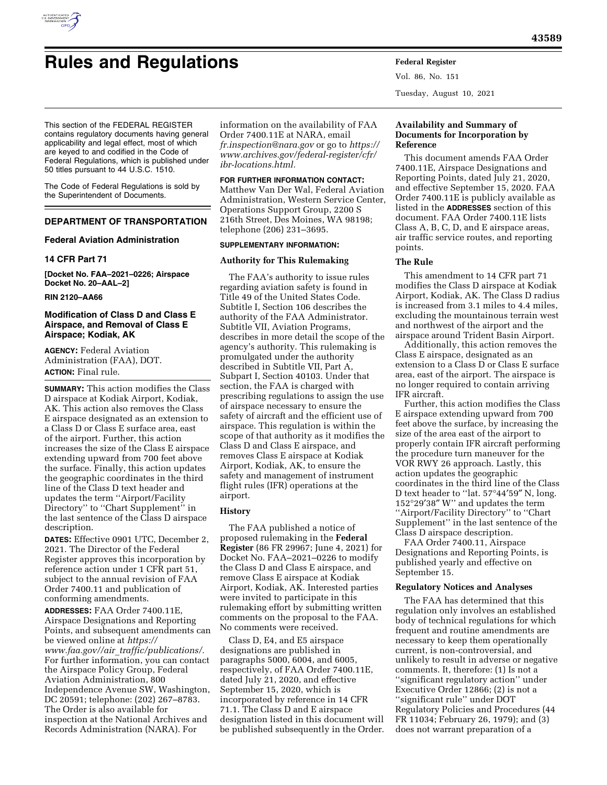

# **Rules and Regulations Federal Register**

Vol. 86, No. 151 Tuesday, August 10, 2021

This section of the FEDERAL REGISTER contains regulatory documents having general applicability and legal effect, most of which are keyed to and codified in the Code of Federal Regulations, which is published under 50 titles pursuant to 44 U.S.C. 1510.

The Code of Federal Regulations is sold by the Superintendent of Documents.

# **DEPARTMENT OF TRANSPORTATION**

# **Federal Aviation Administration**

### **14 CFR Part 71**

**[Docket No. FAA–2021–0226; Airspace Docket No. 20–AAL–2]** 

### **RIN 2120–AA66**

# **Modification of Class D and Class E Airspace, and Removal of Class E Airspace; Kodiak, AK**

**AGENCY:** Federal Aviation Administration (FAA), DOT. **ACTION:** Final rule.

**SUMMARY:** This action modifies the Class D airspace at Kodiak Airport, Kodiak, AK. This action also removes the Class E airspace designated as an extension to a Class D or Class E surface area, east of the airport. Further, this action increases the size of the Class E airspace extending upward from 700 feet above the surface. Finally, this action updates the geographic coordinates in the third line of the Class D text header and updates the term ''Airport/Facility Directory'' to ''Chart Supplement'' in the last sentence of the Class D airspace description.

**DATES:** Effective 0901 UTC, December 2, 2021. The Director of the Federal Register approves this incorporation by reference action under 1 CFR part 51, subject to the annual revision of FAA Order 7400.11 and publication of conforming amendments.

**ADDRESSES:** FAA Order 7400.11E, Airspace Designations and Reporting Points, and subsequent amendments can be viewed online at *[https://](https://www.faa.gov//air_traffic/publications/) www.faa.gov//air*\_*[traffic/publications/.](https://www.faa.gov//air_traffic/publications/)*  For further information, you can contact the Airspace Policy Group, Federal Aviation Administration, 800 Independence Avenue SW, Washington, DC 20591; telephone: (202) 267–8783. The Order is also available for inspection at the National Archives and Records Administration (NARA). For

information on the availability of FAA Order 7400.11E at NARA, email *[fr.inspection@nara.gov](mailto:fr.inspection@nara.gov)* or go to *[https://](https://www.archives.gov/federal-register/cfr/ibr-locations.html)  [www.archives.gov/federal-register/cfr/](https://www.archives.gov/federal-register/cfr/ibr-locations.html)  [ibr-locations.html.](https://www.archives.gov/federal-register/cfr/ibr-locations.html)* 

#### **FOR FURTHER INFORMATION CONTACT:**

Matthew Van Der Wal, Federal Aviation Administration, Western Service Center, Operations Support Group, 2200 S 216th Street, Des Moines, WA 98198; telephone (206) 231–3695.

### **SUPPLEMENTARY INFORMATION:**

# **Authority for This Rulemaking**

The FAA's authority to issue rules regarding aviation safety is found in Title 49 of the United States Code. Subtitle I, Section 106 describes the authority of the FAA Administrator. Subtitle VII, Aviation Programs, describes in more detail the scope of the agency's authority. This rulemaking is promulgated under the authority described in Subtitle VII, Part A, Subpart I, Section 40103. Under that section, the FAA is charged with prescribing regulations to assign the use of airspace necessary to ensure the safety of aircraft and the efficient use of airspace. This regulation is within the scope of that authority as it modifies the Class D and Class E airspace, and removes Class E airspace at Kodiak Airport, Kodiak, AK, to ensure the safety and management of instrument flight rules (IFR) operations at the airport.

# **History**

The FAA published a notice of proposed rulemaking in the **Federal Register** (86 FR 29967; June 4, 2021) for Docket No. FAA–2021–0226 to modify the Class D and Class E airspace, and remove Class E airspace at Kodiak Airport, Kodiak, AK. Interested parties were invited to participate in this rulemaking effort by submitting written comments on the proposal to the FAA. No comments were received.

Class D, E4, and E5 airspace designations are published in paragraphs 5000, 6004, and 6005, respectively, of FAA Order 7400.11E, dated July 21, 2020, and effective September 15, 2020, which is incorporated by reference in 14 CFR 71.1. The Class D and E airspace designation listed in this document will be published subsequently in the Order.

# **Availability and Summary of Documents for Incorporation by Reference**

This document amends FAA Order 7400.11E, Airspace Designations and Reporting Points, dated July 21, 2020, and effective September 15, 2020. FAA Order 7400.11E is publicly available as listed in the **ADDRESSES** section of this document. FAA Order 7400.11E lists Class A, B, C, D, and E airspace areas, air traffic service routes, and reporting points.

### **The Rule**

This amendment to 14 CFR part 71 modifies the Class D airspace at Kodiak Airport, Kodiak, AK. The Class D radius is increased from 3.1 miles to 4.4 miles, excluding the mountainous terrain west and northwest of the airport and the airspace around Trident Basin Airport.

Additionally, this action removes the Class E airspace, designated as an extension to a Class D or Class E surface area, east of the airport. The airspace is no longer required to contain arriving IFR aircraft.

Further, this action modifies the Class E airspace extending upward from 700 feet above the surface, by increasing the size of the area east of the airport to properly contain IFR aircraft performing the procedure turn maneuver for the VOR RWY 26 approach. Lastly, this action updates the geographic coordinates in the third line of the Class D text header to ''lat. 57°44′59″ N, long. 152°29′38″ W'' and updates the term ''Airport/Facility Directory'' to ''Chart Supplement'' in the last sentence of the Class D airspace description.

FAA Order 7400.11, Airspace Designations and Reporting Points, is published yearly and effective on September 15.

### **Regulatory Notices and Analyses**

The FAA has determined that this regulation only involves an established body of technical regulations for which frequent and routine amendments are necessary to keep them operationally current, is non-controversial, and unlikely to result in adverse or negative comments. It, therefore: (1) Is not a ''significant regulatory action'' under Executive Order 12866; (2) is not a ''significant rule'' under DOT Regulatory Policies and Procedures (44 FR 11034; February 26, 1979); and (3) does not warrant preparation of a